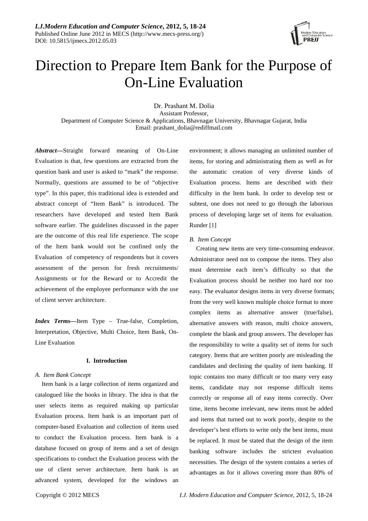

# Direction to Prepare Item Bank for the Purpose of On-Line Evaluation

Dr. Prashant M. Dolia Assistant Professor, Department of Computer Science & Applications, Bhavnagar University, Bhavnagar Gujarat, India Email: prashant\_dolia@rediffmail.com

*Abstract—*Straight forward meaning of On-Line Evaluation is that, few questions are extracted from the question bank and user is asked to "mark" the response. Normally, questions are assumed to be of "objective type". In this paper, this traditional idea is extended and abstract concept of "Item Bank" is introduced. The researchers have developed and tested Item Bank software earlier. The guidelines discussed in the paper are the outcome of this real life experience. The scope of the Item bank would not be confined only the Evaluation of competency of respondents but it covers assessment of the person for fresh recruitments/ Assignments or for the Reward or to Accredit the achievement of the employee performance with the use of client server architecture.

*Index Terms—*Item Type – True-false, Completion, Interpretation, Objective, Multi Choice, Item Bank, On-Line Evaluation

## **I. Introduction**

# *A. Item Bank Concept*

Item bank is a large collection of items organized and catalogued like the books in library. The idea is that the user selects items as required making up particular Evaluation process. Item bank is an important part of computer-based Evaluation and collection of items used to conduct the Evaluation process. Item bank is a database focused on group of items and a set of design specifications to conduct the Evaluation process with the use of client server architecture. Item bank is an advanced system, developed for the windows an

environment; it allows managing an unlimited number of items, for storing and administrating them as well as for the automatic creation of very diverse kinds of Evaluation process. Items are described with their difficulty in the Item bank. In order to develop test or subtest, one does not need to go through the laborious process of developing large set of items for evaluation. Runder [1]

# *B. Item Concept*

Creating new items are very time-consuming endeavor. Administrator need not to compose the items. They also must determine each item's difficulty so that the Evaluation process should be neither too hard nor too easy. The evaluator designs items in very diverse formats; from the very well known multiple choice format to more complex items as alternative answer (true/false), alternative answers with reason, multi choice answers, complete the blank and group answers. The developer has the responsibility to write a quality set of items for such category. Items that are written poorly are misleading the candidates and declining the quality of item banking. If topic contains too many difficult or too many very easy items, candidate may not response difficult items correctly or response all of easy items correctly. Over time, items become irrelevant, new items must be added and items that turned out to work poorly, despite to the developer's best efforts to write only the best items, must be replaced. It must be stated that the design of the item banking software includes the strictest evaluation necessities. The design of the system contains a series of advantages as for it allows covering more than 80% of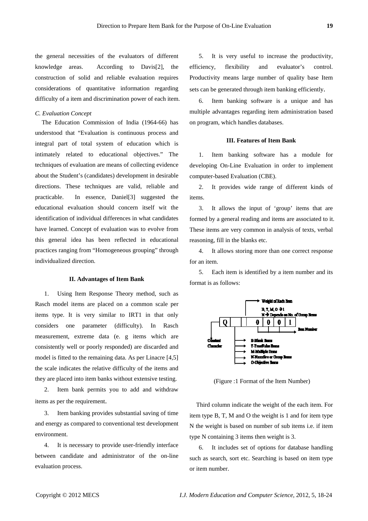the general necessities of the evaluators of different knowledge areas. According to Davis[2], the construction of solid and reliable evaluation requires considerations of quantitative information regarding difficulty of a item and discrimination power of each item.

## *C. Evaluation Concept*

The Education Commission of India (1964-66) has understood that "Evaluation is continuous process and integral part of total system of education which is intimately related to educational objectives." The techniques of evaluation are means of collecting evidence about the Student's (candidates) development in desirable directions. These techniques are valid, reliable and practicable. In essence, Daniel[3] suggested the educational evaluation should concern itself wit the identification of individual differences in what candidates have learned. Concept of evaluation was to evolve from this general idea has been reflected in educational practices ranging from "Homogeneous grouping" through individualized direction.

#### **II. Advantages of Item Bank**

1. Using Item Response Theory method, such as Rasch model items are placed on a common scale per items type. It is very similar to IRT1 in that only considers one parameter (difficulty). In Rasch measurement, extreme data (e. g items which are consistently well or poorly responded) are discarded and model is fitted to the remaining data. As per Linacre [4,5] the scale indicates the relative difficulty of the items and they are placed into item banks without extensive testing.

2. Item bank permits you to add and withdraw items as per the requirement.

3. Item banking provides substantial saving of time and energy as compared to conventional test development environment.

4. It is necessary to provide user-friendly interface between candidate and administrator of the on-line evaluation process.

5. It is very useful to increase the productivity, efficiency, flexibility and evaluator's control. Productivity means large number of quality base Item sets can be generated through item banking efficiently.

6. Item banking software is a unique and has multiple advantages regarding item administration based on program, which handles databases.

#### **III. Features of Item Bank**

1. Item banking software has a module for developing On-Line Evaluation in order to implement computer-based Evaluation (CBE).

2. It provides wide range of different kinds of items.

3. It allows the input of 'group' items that are formed by a general reading and items are associated to it. These items are very common in analysis of texts, verbal reasoning, fill in the blanks etc.

4. It allows storing more than one correct response for an item.

5. Each item is identified by a item number and its format is as follows:



(Figure :1 Format of the Item Number)

Third column indicate the weight of the each item. For item type B, T, M and O the weight is 1 and for item type N the weight is based on number of sub items i.e. if item type N containing 3 items then weight is 3.

6. It includes set of options for database handling such as search, sort etc. Searching is based on item type or item number.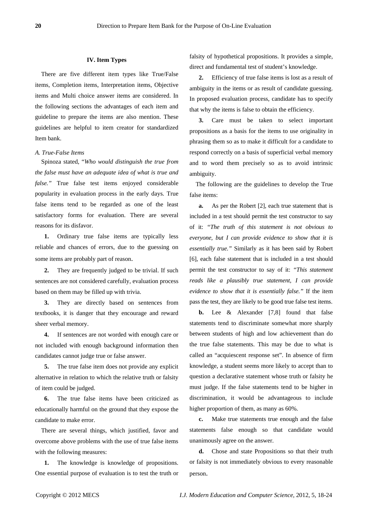#### **IV. Item Types**

There are five different item types like True/False items, Completion items, Interpretation items, Objective items and Multi choice answer items are considered. In the following sections the advantages of each item and guideline to prepare the items are also mention. These guidelines are helpful to item creator for standardized Item bank.

## *A. True-False Items*

Spinoza stated, "*Who would distinguish the true from the false must have an adequate idea of what is true and false."* True false test items enjoyed considerable popularity in evaluation process in the early days. True false items tend to be regarded as one of the least satisfactory forms for evaluation. There are several reasons for its disfavor.

**1.** Ordinary true false items are typically less reliable and chances of errors, due to the guessing on some items are probably part of reason.

**2.** They are frequently judged to be trivial. If such sentences are not considered carefully, evaluation process based on them may be filled up with trivia.

**3.** They are directly based on sentences from textbooks, it is danger that they encourage and reward sheer verbal memory.

**4.** If sentences are not worded with enough care or not included with enough background information then candidates cannot judge true or false answer.

**5.** The true false item does not provide any explicit alternative in relation to which the relative truth or falsity of item could be judged.

**6.** The true false items have been criticized as educationally harmful on the ground that they expose the candidate to make error.

There are several things, which justified, favor and overcome above problems with the use of true false items with the following measures:

**1.** The knowledge is knowledge of propositions. One essential purpose of evaluation is to test the truth or falsity of hypothetical propositions. It provides a simple, direct and fundamental test of student's knowledge.

**2.** Efficiency of true false items is lost as a result of ambiguity in the items or as result of candidate guessing. In proposed evaluation process, candidate has to specify that why the items is false to obtain the efficiency.

**3.** Care must be taken to select important propositions as a basis for the items to use originality in phrasing them so as to make it difficult for a candidate to respond correctly on a basis of superficial verbal memory and to word them precisely so as to avoid intrinsic ambiguity.

The following are the guidelines to develop the True false items:

**a.** As per the Robert [2], each true statement that is included in a test should permit the test constructor to say of it: *"The truth of this statement is not obvious to everyone, but I can provide evidence to show that it is essentially true."* Similarly as it has been said by Robert [6], each false statement that is included in a test should permit the test constructor to say of it: *"This statement reads like a plausibly true statement, I can provide evidence to show that it is essentially false."* If the item pass the test, they are likely to be good true false test items.

**b.** Lee & Alexander [7,8] found that false statements tend to discriminate somewhat more sharply between students of high and low achievement than do the true false statements. This may be due to what is called an "acquiescent response set". In absence of firm knowledge, a student seems more likely to accept than to question a declarative statement whose truth or falsity he must judge. If the false statements tend to be higher in discrimination, it would be advantageous to include higher proportion of them, as many as 60%.

**c.** Make true statements true enough and the false statements false enough so that candidate would unanimously agree on the answer.

**d.** Chose and state Propositions so that their truth or falsity is not immediately obvious to every reasonable person.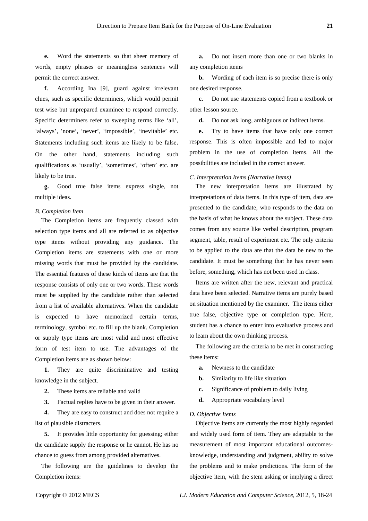**e.** Word the statements so that sheer memory of words, empty phrases or meaningless sentences will permit the correct answer.

**f.** According Ina [9], guard against irrelevant clues, such as specific determiners, which would permit test wise but unprepared examinee to respond correctly. Specific determiners refer to sweeping terms like 'all', 'always', 'none', 'never', 'impossible', 'inevitable' etc. Statements including such items are likely to be false. On the other hand, statements including such qualifications as 'usually', 'sometimes', 'often' etc. are likely to be true.

**g.** Good true false items express single, not multiple ideas.

#### *B. Completion Item*

The Completion items are frequently classed with selection type items and all are referred to as objective type items without providing any guidance. The Completion items are statements with one or more missing words that must be provided by the candidate. The essential features of these kinds of items are that the response consists of only one or two words. These words must be supplied by the candidate rather than selected from a list of available alternatives. When the candidate is expected to have memorized certain terms, terminology, symbol etc. to fill up the blank. Completion or supply type items are most valid and most effective form of test item to use. The advantages of the Completion items are as shown below:

**1.** They are quite discriminative and testing knowledge in the subject.

**2.** These items are reliable and valid

**3.** Factual replies have to be given in their answer.

**4.** They are easy to construct and does not require a list of plausible distracters.

**5.** It provides little opportunity for guessing; either the candidate supply the response or he cannot. He has no chance to guess from among provided alternatives.

The following are the guidelines to develop the Completion items:

**a.** Do not insert more than one or two blanks in any completion items

**b.** Wording of each item is so precise there is only one desired response.

**c.** Do not use statements copied from a textbook or other lesson source.

**d.** Do not ask long, ambiguous or indirect items.

**e.** Try to have items that have only one correct response. This is often impossible and led to major problem in the use of completion items. All the possibilities are included in the correct answer.

#### *C. Interpretation Items (Narrative Items)*

The new interpretation items are illustrated by interpretations of data items. In this type of item, data are presented to the candidate, who responds to the data on the basis of what he knows about the subject. These data comes from any source like verbal description, program segment, table, result of experiment etc. The only criteria to be applied to the data are that the data be new to the candidate. It must be something that he has never seen before, something, which has not been used in class.

Items are written after the new, relevant and practical data have been selected. Narrative items are purely based on situation mentioned by the examiner. The items either true false, objective type or completion type. Here, student has a chance to enter into evaluative process and to learn about the own thinking process.

The following are the criteria to be met in constructing these items:

- **a.** Newness to the candidate
- **b.** Similarity to life like situation
- **c.** Significance of problem to daily living
- **d.** Appropriate vocabulary level

#### *D. Objective Items*

Objective items are currently the most highly regarded and widely used form of item. They are adaptable to the measurement of most important educational outcomesknowledge, understanding and judgment, ability to solve the problems and to make predictions. The form of the objective item, with the stem asking or implying a direct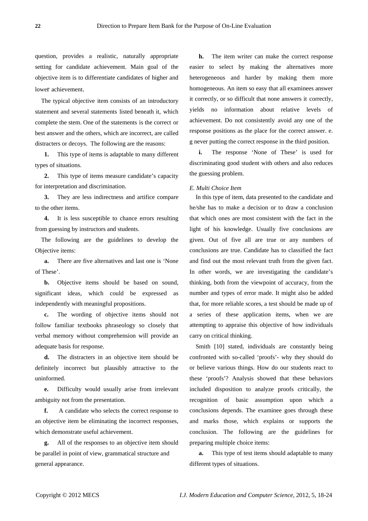question, provides a realistic, naturally appropriate setting for candidate achievement. Main goal of the objective item is to differentiate candidates of higher and lower achievement.

The typical objective item consists of an introductory statement and several statements listed beneath it, which complete the stem. One of the statements is the correct or best answer and the others, which are incorrect, are called distracters or decoys. The following are the reasons:

**1.** This type of items is adaptable to many different types of situations.

**2.** This type of items measure candidate's capacity for interpretation and discrimination.

**3.** They are less indirectness and artifice compare to the other items.

**4.** It is less susceptible to chance errors resulting from guessing by instructors and students.

The following are the guidelines to develop the Objective items:

**a.** There are five alternatives and last one is 'None of These'.

**b.** Objective items should be based on sound, significant ideas, which could be expressed as independently with meaningful propositions.

**c.** The wording of objective items should not follow familiar textbooks phraseology so closely that verbal memory without comprehension will provide an adequate basis for response.

**d.** The distracters in an objective item should be definitely incorrect but plausibly attractive to the uninformed.

**e.** Difficulty would usually arise from irrelevant ambiguity not from the presentation.

**f.** A candidate who selects the correct response to an objective item be eliminating the incorrect responses, which demonstrate useful achievement.

**g.** All of the responses to an objective item should be parallel in point of view, grammatical structure and general appearance.

**h.** The item writer can make the correct response easier to select by making the alternatives more heterogeneous and harder by making them more homogeneous. An item so easy that all examinees answer it correctly, or so difficult that none answers it correctly, yields no information about relative levels of achievement. Do not consistently avoid any one of the response positions as the place for the correct answer. e. g never putting the correct response in the third position.

**i.** The response 'None of These' is used for discriminating good student with others and also reduces the guessing problem.

# *E. Multi Choice Item*

In this type of item, data presented to the candidate and he/she has to make a decision or to draw a conclusion that which ones are most consistent with the fact in the light of his knowledge. Usually five conclusions are given. Out of five all are true or any numbers of conclusions are true. Candidate has to classified the fact and find out the most relevant truth from the given fact. In other words, we are investigating the candidate's thinking, both from the viewpoint of accuracy, from the number and types of error made. It might also be added that, for more reliable scores, a test should be made up of a series of these application items, when we are attempting to appraise this objective of how individuals carry on critical thinking.

Smith [10] stated, individuals are constantly being confronted with so-called 'proofs'- why they should do or believe various things. How do our students react to these 'proofs'? Analysis showed that these behaviors included disposition to analyze proofs critically, the recognition of basic assumption upon which a conclusions depends. The examinee goes through these and marks those, which explains or supports the conclusion. The following are the guidelines for preparing multiple choice items:

**a.** This type of test items should adaptable to many different types of situations.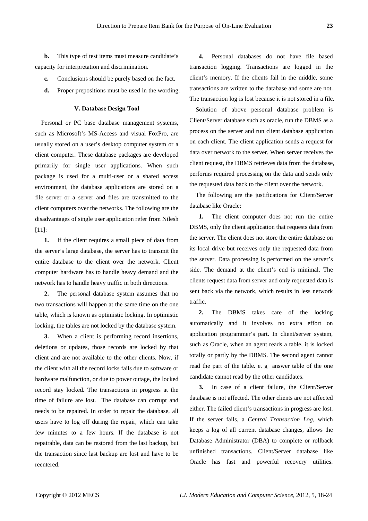**b.** This type of test items must measure candidate's capacity for interpretation and discrimination.

- **c.** Conclusions should be purely based on the fact.
- **d.** Proper prepositions must be used in the wording.

#### **V. Database Design Tool**

Personal or PC base database management systems, such as Microsoft's MS-Access and visual FoxPro, are usually stored on a user's desktop computer system or a client computer. These database packages are developed primarily for single user applications. When such package is used for a multi-user or a shared access environment, the database applications are stored on a file server or a server and files are transmitted to the client computers over the networks. The following are the disadvantages of single user application refer from Nilesh [11]:

**1.** If the client requires a small piece of data from the server's large database, the server has to transmit the entire database to the client over the network. Client computer hardware has to handle heavy demand and the network has to handle heavy traffic in both directions.

**2.** The personal database system assumes that no two transactions will happen at the same time on the one table, which is known as optimistic locking. In optimistic locking, the tables are not locked by the database system.

**3.** When a client is performing record insertions, deletions or updates, those records are locked by that client and are not available to the other clients. Now, if the client with all the record locks fails due to software or hardware malfunction, or due to power outage, the locked record stay locked. The transactions in progress at the time of failure are lost. The database can corrupt and needs to be repaired. In order to repair the database, all users have to log off during the repair, which can take few minutes to a few hours. If the database is not repairable, data can be restored from the last backup, but the transaction since last backup are lost and have to be reentered.

**4.** Personal databases do not have file based transaction logging. Transactions are logged in the client's memory. If the clients fail in the middle, some transactions are written to the database and some are not. The transaction log is lost because it is not stored in a file.

Solution of above personal database problem is Client/Server database such as oracle, run the DBMS as a process on the server and run client database application on each client. The client application sends a request for data over network to the server. When server receives the client request, the DBMS retrieves data from the database, performs required processing on the data and sends only the requested data back to the client over the network.

The following are the justifications for Client/Server database like Oracle:

**1.** The client computer does not run the entire DBMS, only the client application that requests data from the server. The client does not store the entire database on its local drive but receives only the requested data from the server. Data processing is performed on the server's side. The demand at the client's end is minimal. The clients request data from server and only requested data is sent back via the network, which results in less network traffic.

**2.** The DBMS takes care of the locking automatically and it involves no extra effort on application programmer's part. In client/server system, such as Oracle, when an agent reads a table, it is locked totally or partly by the DBMS. The second agent cannot read the part of the table. e. g answer table of the one candidate cannot read by the other candidates.

**3.** In case of a client failure, the Client/Server database is not affected. The other clients are not affected either. The failed client's transactions in progress are lost. If the server fails, a *Central Transaction Log*, which keeps a log of all current database changes, allows the Database Administrator (DBA) to complete or rollback unfinished transactions. Client/Server database like Oracle has fast and powerful recovery utilities.